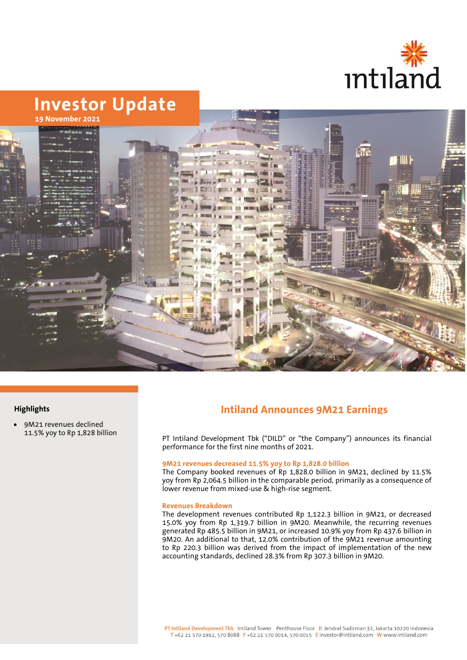



## **Highlights**

• 9M21 revenues declined 11.5% yoy to Rp 1,828 billion

# **Intiland Announces 9M21 Earnings**

PT Intiland Development Tbk ("DILD" or "the Company") announces its financial performance for the first nine months of 2021.

#### **9M21 revenues decreased 11.5% yoy to Rp 1,828.0 billion**

The Company booked revenues of Rp 1,828.0 billion in 9M21, declined by 11.5% yoy from Rp 2,064.5 billion in the comparable period, primarily as a consequence of lower revenue from mixed-use & high-rise segment.

#### **Revenues Breakdown**

The development revenues contributed Rp 1,122.3 billion in 9M21, or decreased 15.0% yoy from Rp 1,319.7 billion in 9M20. Meanwhile, the recurring revenues generated Rp 485.5 billion in 9M21, or increased 10.9% yoy from Rp 437.6 billion in 9M20. An additional to that, 12.0% contribution of the 9M21 revenue amounting to Rp 220.3 billion was derived from the impact of implementation of the new accounting standards, declined 28.3% from Rp 307.3 billion in 9M20.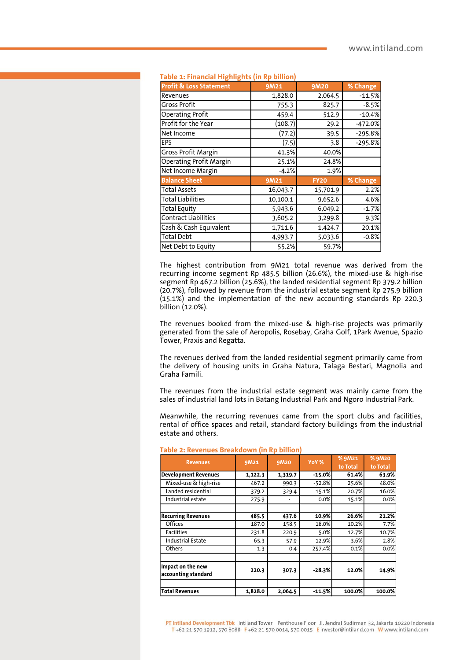| anciar i ngunguw (in iyo olinon    |          |             |           |  |  |  |  |  |  |
|------------------------------------|----------|-------------|-----------|--|--|--|--|--|--|
| <b>Profit &amp; Loss Statement</b> | 9M21     | 9M20        | % Change  |  |  |  |  |  |  |
| Revenues                           | 1,828.0  | 2,064.5     | $-11.5%$  |  |  |  |  |  |  |
| <b>Gross Profit</b>                | 755.3    | 825.7       | $-8.5%$   |  |  |  |  |  |  |
| <b>Operating Profit</b>            | 459.4    | 512.9       | $-10.4%$  |  |  |  |  |  |  |
| Profit for the Year                | (108.7)  | 29.2        | $-472.0%$ |  |  |  |  |  |  |
| Net Income                         | (77.2)   | 39.5        | $-295.8%$ |  |  |  |  |  |  |
| EPS                                | (7.5)    | 3.8         | $-295.8%$ |  |  |  |  |  |  |
| <b>Gross Profit Margin</b>         | 41.3%    | 40.0%       |           |  |  |  |  |  |  |
| <b>Operating Profit Margin</b>     | 25.1%    | 24.8%       |           |  |  |  |  |  |  |
| Net Income Margin                  | $-4.2%$  | 1.9%        |           |  |  |  |  |  |  |
| <b>Balance Sheet</b>               | 9M21     | <b>FY20</b> | % Change  |  |  |  |  |  |  |
| <b>Total Assets</b>                | 16,043.7 | 15,701.9    | 2.2%      |  |  |  |  |  |  |
| <b>Total Liabilities</b>           | 10,100.1 | 9,652.6     | 4.6%      |  |  |  |  |  |  |
| <b>Total Equity</b>                | 5,943.6  | 6,049.2     | $-1.7%$   |  |  |  |  |  |  |
| <b>Contract Liabilities</b>        | 3,605.2  | 3,299.8     | 9.3%      |  |  |  |  |  |  |
| Cash & Cash Equivalent             | 1,711.6  | 1,424.7     | 20.1%     |  |  |  |  |  |  |
| <b>Total Debt</b>                  | 4,993.7  | 5,033.6     | $-0.8%$   |  |  |  |  |  |  |
| Net Debt to Equity                 | 55.2%    | 59.7%       |           |  |  |  |  |  |  |

#### **Table 1: Financial Highlights (in Rp billion)**

The highest contribution from 9M21 total revenue was derived from the recurring income segment Rp 485.5 billion (26.6%), the mixed-use & high-rise segment Rp 467.2 billion (25.6%), the landed residential segment Rp 379.2 billion (20.7%), followed by revenue from the industrial estate segment Rp 275.9 billion  $(15.1\%)$  and the implementation of the new accounting standards Rp 220.3 billion (12.0%).

The revenues booked from the mixed-use & high-rise projects was primarily generated from the sale of Aeropolis, Rosebay, Graha Golf, 1Park Avenue, Spazio Tower, Praxis and Regatta.

The revenues derived from the landed residential segment primarily came from the delivery of housing units in Graha Natura, Talaga Bestari, Magnolia and Graha Famili.

The revenues from the industrial estate segment was mainly came from the sales of industrial land lots in Batang Industrial Park and Ngoro Industrial Park.

Meanwhile, the recurring revenues came from the sport clubs and facilities, rental of office spaces and retail, standard factory buildings from the industrial estate and others.

| <b>Revenues</b>                          | 9M21    | 9M20    | YoY %    | % 9M21<br>to Total | % 9M20<br>to Total |
|------------------------------------------|---------|---------|----------|--------------------|--------------------|
| <b>Development Revenues</b>              | 1,122.3 | 1,319.7 | $-15.0%$ | 61.4%              | 63.9%              |
| Mixed-use & high-rise                    | 467.2   | 990.3   | $-52.8%$ | 25.6%              | 48.0%              |
| Landed residential                       | 379.2   | 329.4   | 15.1%    | 20.7%              | 16.0%              |
| Industrial estate                        | 275.9   |         | 0.0%     | 15.1%              | 0.0%               |
|                                          |         |         |          |                    |                    |
| <b>Recurring Revenues</b>                | 485.5   | 437.6   | 10.9%    | 26.6%              | 21.2%              |
| <b>Offices</b>                           | 187.0   | 158.5   | 18.0%    | 10.2%              | 7.7%               |
| <b>Facilities</b>                        | 231.8   | 220.9   | 5.0%     | 12.7%              | 10.7%              |
| <b>Industrial Estate</b>                 | 65.3    | 57.9    | 12.9%    | 3.6%               | 2.8%               |
| Others                                   | 1.3     | 0.4     | 257.4%   | 0.1%               | 0.0%               |
|                                          |         |         |          |                    |                    |
| Impact on the new<br>accounting standard | 220.3   | 307.3   | $-28.3%$ | 12.0%              | 14.9%              |
| <b>Total Revenues</b>                    | 1,828.0 | 2,064.5 | $-11.5%$ | 100.0%             | 100.0%             |
|                                          |         |         |          |                    |                    |

#### **Table 2: Revenues Breakdown (in Rp billion)**

PT Intiland Development Tbk Intiland Tower Penthouse Floor Jl. Jendral Sudirman 32, Jakarta 10220 Indonesia T+62 21 570 1912, 570 8088 F+62 21 570 0014, 570 0015 E investor@intiland.com W www.intiland.com